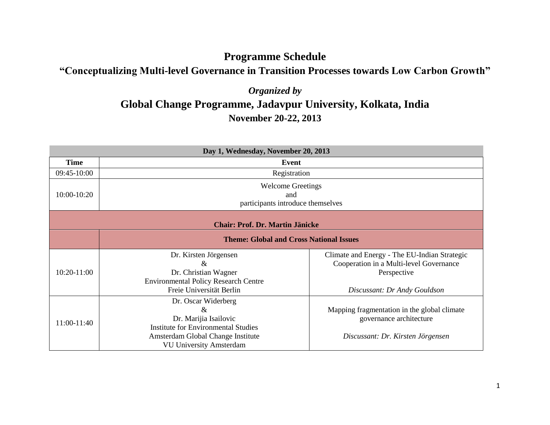## **Programme Schedule**

## **"Conceptualizing Multi-level Governance in Transition Processes towards Low Carbon Growth"**

## *Organized by* **Global Change Programme, Jadavpur University, Kolkata, India November 20-22, 2013**

| Day 1, Wednesday, November 20, 2013            |                                                                                                                                                                           |                                                                                                                                        |
|------------------------------------------------|---------------------------------------------------------------------------------------------------------------------------------------------------------------------------|----------------------------------------------------------------------------------------------------------------------------------------|
| <b>Time</b>                                    | Event                                                                                                                                                                     |                                                                                                                                        |
| 09:45-10:00                                    | Registration                                                                                                                                                              |                                                                                                                                        |
| 10:00-10:20                                    | <b>Welcome Greetings</b><br>and<br>participants introduce themselves                                                                                                      |                                                                                                                                        |
| <b>Chair: Prof. Dr. Martin Jänicke</b>         |                                                                                                                                                                           |                                                                                                                                        |
| <b>Theme: Global and Cross National Issues</b> |                                                                                                                                                                           |                                                                                                                                        |
| 10:20-11:00                                    | Dr. Kirsten Jörgensen<br>&<br>Dr. Christian Wagner<br><b>Environmental Policy Research Centre</b><br>Freie Universität Berlin                                             | Climate and Energy - The EU-Indian Strategic<br>Cooperation in a Multi-level Governance<br>Perspective<br>Discussant: Dr Andy Gouldson |
| 11:00-11:40                                    | Dr. Oscar Widerberg<br>$\&$<br>Dr. Marijia Isailovic<br><b>Institute for Environmental Studies</b><br>Amsterdam Global Change Institute<br><b>VU University Amsterdam</b> | Mapping fragmentation in the global climate<br>governance architecture<br>Discussant: Dr. Kirsten Jörgensen                            |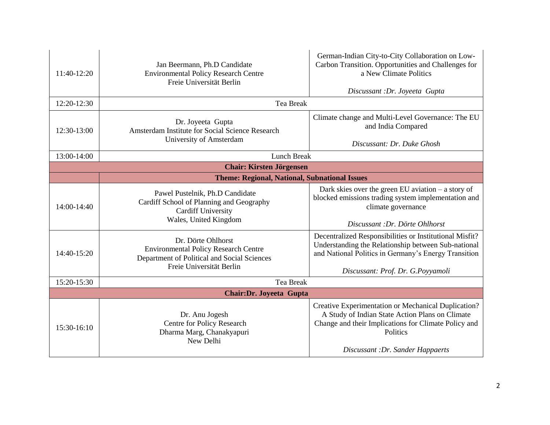| 11:40-12:20                                          | Jan Beermann, Ph.D Candidate<br><b>Environmental Policy Research Centre</b><br>Freie Universität Berlin                                      | German-Indian City-to-City Collaboration on Low-<br>Carbon Transition. Opportunities and Challenges for<br>a New Climate Politics<br>Discussant : Dr. Joyeeta Gupta                                            |
|------------------------------------------------------|----------------------------------------------------------------------------------------------------------------------------------------------|----------------------------------------------------------------------------------------------------------------------------------------------------------------------------------------------------------------|
| 12:20-12:30                                          | <b>Tea Break</b>                                                                                                                             |                                                                                                                                                                                                                |
| 12:30-13:00                                          | Dr. Joyeeta Gupta<br>Amsterdam Institute for Social Science Research<br>University of Amsterdam                                              | Climate change and Multi-Level Governance: The EU<br>and India Compared<br>Discussant: Dr. Duke Ghosh                                                                                                          |
| 13:00-14:00                                          | <b>Lunch Break</b>                                                                                                                           |                                                                                                                                                                                                                |
| <b>Chair: Kirsten Jörgensen</b>                      |                                                                                                                                              |                                                                                                                                                                                                                |
| <b>Theme: Regional, National, Subnational Issues</b> |                                                                                                                                              |                                                                                                                                                                                                                |
| 14:00-14:40                                          | Pawel Pustelnik, Ph.D Candidate<br>Cardiff School of Planning and Geography<br><b>Cardiff University</b><br>Wales, United Kingdom            | Dark skies over the green EU aviation $-$ a story of<br>blocked emissions trading system implementation and<br>climate governance<br>Discussant : Dr. Dörte Ohlhorst                                           |
| 14:40-15:20                                          | Dr. Dörte Ohlhorst<br><b>Environmental Policy Research Centre</b><br>Department of Political and Social Sciences<br>Freie Universität Berlin | Decentralized Responsibilities or Institutional Misfit?<br>Understanding the Relationship between Sub-national<br>and National Politics in Germany's Energy Transition<br>Discussant: Prof. Dr. G.Poyyamoli    |
| 15:20-15:30                                          | <b>Tea Break</b>                                                                                                                             |                                                                                                                                                                                                                |
| <b>Chair:Dr. Joyeeta Gupta</b>                       |                                                                                                                                              |                                                                                                                                                                                                                |
| 15:30-16:10                                          | Dr. Anu Jogesh<br>Centre for Policy Research<br>Dharma Marg, Chanakyapuri<br>New Delhi                                                       | Creative Experimentation or Mechanical Duplication?<br>A Study of Indian State Action Plans on Climate<br>Change and their Implications for Climate Policy and<br>Politics<br>Discussant: Dr. Sander Happaerts |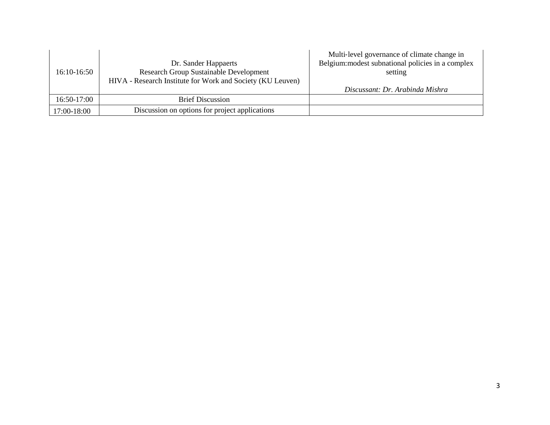| 16:10-16:50 | Dr. Sander Happaerts<br><b>Research Group Sustainable Development</b><br>HIVA - Research Institute for Work and Society (KU Leuven) | Multi-level governance of climate change in<br>Belgium: modest subnational policies in a complex<br>setting |
|-------------|-------------------------------------------------------------------------------------------------------------------------------------|-------------------------------------------------------------------------------------------------------------|
|             |                                                                                                                                     | Discussant: Dr. Arabinda Mishra                                                                             |
| 16:50-17:00 | <b>Brief Discussion</b>                                                                                                             |                                                                                                             |
| 17:00-18:00 | Discussion on options for project applications                                                                                      |                                                                                                             |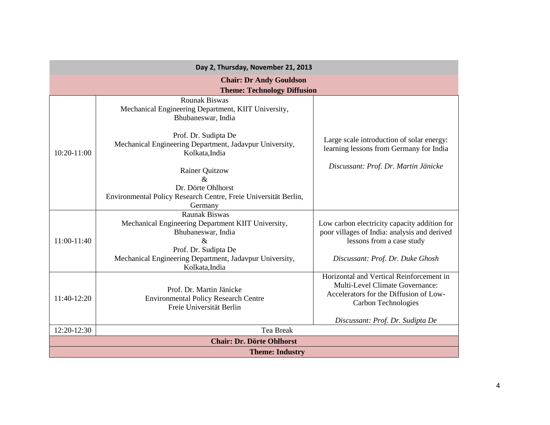| Day 2, Thursday, November 21, 2013 |                                                                                                     |                                                                                                                                              |  |
|------------------------------------|-----------------------------------------------------------------------------------------------------|----------------------------------------------------------------------------------------------------------------------------------------------|--|
| <b>Chair: Dr Andy Gouldson</b>     |                                                                                                     |                                                                                                                                              |  |
|                                    | <b>Theme: Technology Diffusion</b>                                                                  |                                                                                                                                              |  |
|                                    | <b>Rounak Biswas</b><br>Mechanical Engineering Department, KIIT University,<br>Bhubaneswar, India   |                                                                                                                                              |  |
| 10:20-11:00                        | Prof. Dr. Sudipta De<br>Mechanical Engineering Department, Jadavpur University,<br>Kolkata, India   | Large scale introduction of solar energy:<br>learning lessons from Germany for India                                                         |  |
|                                    | <b>Rainer Quitzow</b><br>$\&$                                                                       | Discussant: Prof. Dr. Martin Jänicke                                                                                                         |  |
|                                    | Dr. Dörte Ohlhorst                                                                                  |                                                                                                                                              |  |
|                                    | Environmental Policy Research Centre, Freie Universität Berlin,                                     |                                                                                                                                              |  |
|                                    | Germany                                                                                             |                                                                                                                                              |  |
|                                    | <b>Raunak Biswas</b>                                                                                |                                                                                                                                              |  |
|                                    | Mechanical Engineering Department KIIT University,                                                  | Low carbon electricity capacity addition for                                                                                                 |  |
|                                    | Bhubaneswar, India                                                                                  | poor villages of India: analysis and derived                                                                                                 |  |
| 11:00-11:40                        | &                                                                                                   | lessons from a case study                                                                                                                    |  |
|                                    | Prof. Dr. Sudipta De                                                                                |                                                                                                                                              |  |
|                                    | Mechanical Engineering Department, Jadavpur University,<br>Kolkata, India                           | Discussant: Prof. Dr. Duke Ghosh                                                                                                             |  |
| 11:40-12:20                        | Prof. Dr. Martin Jänicke<br><b>Environmental Policy Research Centre</b><br>Freie Universität Berlin | Horizontal and Vertical Reinforcement in<br>Multi-Level Climate Governance:<br>Accelerators for the Diffusion of Low-<br>Carbon Technologies |  |
|                                    |                                                                                                     | Discussant: Prof. Dr. Sudipta De                                                                                                             |  |
| 12:20-12:30                        | Tea Break                                                                                           |                                                                                                                                              |  |
| <b>Chair: Dr. Dörte Ohlhorst</b>   |                                                                                                     |                                                                                                                                              |  |
| <b>Theme: Industry</b>             |                                                                                                     |                                                                                                                                              |  |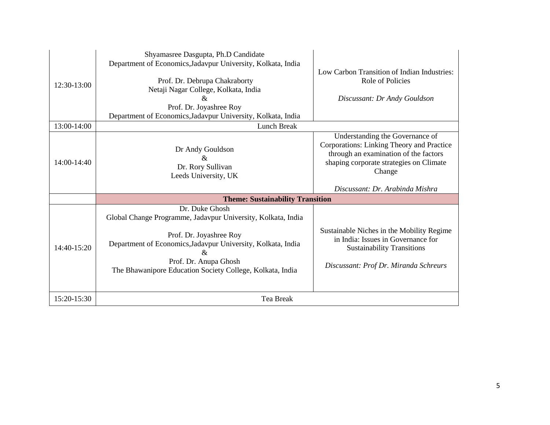| 12:30-13:00 | Shyamasree Dasgupta, Ph.D Candidate<br>Department of Economics, Jadavpur University, Kolkata, India<br>Prof. Dr. Debrupa Chakraborty<br>Netaji Nagar College, Kolkata, India<br>&<br>Prof. Dr. Joyashree Roy<br>Department of Economics, Jadavpur University, Kolkata, India | Low Carbon Transition of Indian Industries:<br>Role of Policies<br>Discussant: Dr Andy Gouldson                                                                            |
|-------------|------------------------------------------------------------------------------------------------------------------------------------------------------------------------------------------------------------------------------------------------------------------------------|----------------------------------------------------------------------------------------------------------------------------------------------------------------------------|
| 13:00-14:00 | <b>Lunch Break</b>                                                                                                                                                                                                                                                           |                                                                                                                                                                            |
| 14:00-14:40 | Dr Andy Gouldson<br>$\&$<br>Dr. Rory Sullivan<br>Leeds University, UK                                                                                                                                                                                                        | Understanding the Governance of<br>Corporations: Linking Theory and Practice<br>through an examination of the factors<br>shaping corporate strategies on Climate<br>Change |
|             |                                                                                                                                                                                                                                                                              | Discussant: Dr. Arabinda Mishra                                                                                                                                            |
|             | <b>Theme: Sustainability Transition</b>                                                                                                                                                                                                                                      |                                                                                                                                                                            |
| 14:40-15:20 | Dr. Duke Ghosh<br>Global Change Programme, Jadavpur University, Kolkata, India<br>Prof. Dr. Joyashree Roy<br>Department of Economics, Jadavpur University, Kolkata, India<br>&<br>Prof. Dr. Anupa Ghosh<br>The Bhawanipore Education Society College, Kolkata, India         | Sustainable Niches in the Mobility Regime<br>in India: Issues in Governance for<br><b>Sustainability Transitions</b><br>Discussant: Prof Dr. Miranda Schreurs              |
| 15:20-15:30 | Tea Break                                                                                                                                                                                                                                                                    |                                                                                                                                                                            |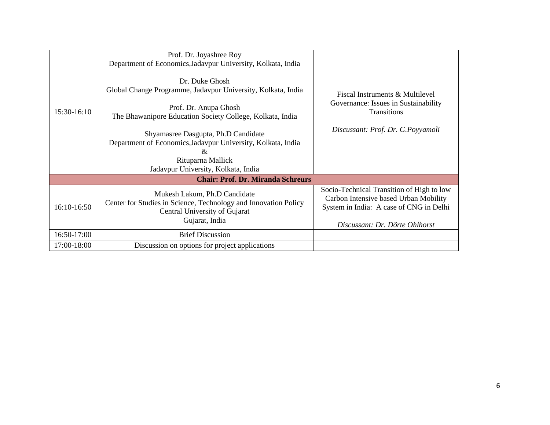| 15:30-16:10                              | Prof. Dr. Joyashree Roy<br>Department of Economics, Jadavpur University, Kolkata, India<br>Dr. Duke Ghosh<br>Global Change Programme, Jadavpur University, Kolkata, India<br>Prof. Dr. Anupa Ghosh<br>The Bhawanipore Education Society College, Kolkata, India<br>Shyamasree Dasgupta, Ph.D Candidate<br>Department of Economics, Jadavpur University, Kolkata, India | Fiscal Instruments & Multilevel<br>Governance: Issues in Sustainability<br>Transitions<br>Discussant: Prof. Dr. G.Poyyamoli                                     |
|------------------------------------------|------------------------------------------------------------------------------------------------------------------------------------------------------------------------------------------------------------------------------------------------------------------------------------------------------------------------------------------------------------------------|-----------------------------------------------------------------------------------------------------------------------------------------------------------------|
|                                          | &<br>Rituparna Mallick                                                                                                                                                                                                                                                                                                                                                 |                                                                                                                                                                 |
|                                          | Jadavpur University, Kolkata, India                                                                                                                                                                                                                                                                                                                                    |                                                                                                                                                                 |
| <b>Chair: Prof. Dr. Miranda Schreurs</b> |                                                                                                                                                                                                                                                                                                                                                                        |                                                                                                                                                                 |
| 16:10-16:50                              | Mukesh Lakum, Ph.D Candidate<br>Center for Studies in Science, Technology and Innovation Policy<br>Central University of Gujarat<br>Gujarat, India                                                                                                                                                                                                                     | Socio-Technical Transition of High to low<br>Carbon Intensive based Urban Mobility<br>System in India: A case of CNG in Delhi<br>Discussant: Dr. Dörte Ohlhorst |
| 16:50-17:00                              | <b>Brief Discussion</b>                                                                                                                                                                                                                                                                                                                                                |                                                                                                                                                                 |
| 17:00-18:00                              | Discussion on options for project applications                                                                                                                                                                                                                                                                                                                         |                                                                                                                                                                 |